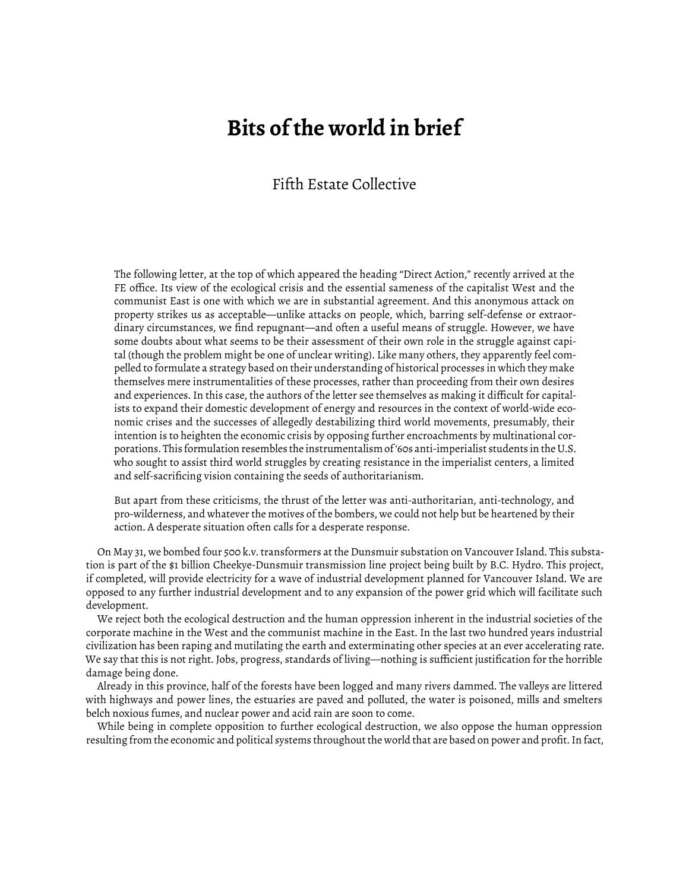## **Bits of the world in brief**

## Fifth Estate Collective

The following letter, at the top of which appeared the heading "Direct Action," recently arrived at the FE office. Its view of the ecological crisis and the essential sameness of the capitalist West and the communist East is one with which we are in substantial agreement. And this anonymous attack on property strikes us as acceptable—unlike attacks on people, which, barring self-defense or extraordinary circumstances, we find repugnant—and often a useful means of struggle. However, we have some doubts about what seems to be their assessment of their own role in the struggle against capital (though the problem might be one of unclear writing). Like many others, they apparently feel compelled to formulate a strategy based on their understanding of historical processes in which they make themselves mere instrumentalities of these processes, rather than proceeding from their own desires and experiences. In this case, the authors of the letter see themselves as making it difficult for capitalists to expand their domestic development of energy and resources in the context of world-wide economic crises and the successes of allegedly destabilizing third world movements, presumably, their intention is to heighten the economic crisis by opposing further encroachments by multinational corporations. This formulation resembles the instrumentalism of '60s anti-imperialist students in the U.S. who sought to assist third world struggles by creating resistance in the imperialist centers, a limited and self-sacrificing vision containing the seeds of authoritarianism.

But apart from these criticisms, the thrust of the letter was anti-authoritarian, anti-technology, and pro-wilderness, and whatever the motives of the bombers, we could not help but be heartened by their action. A desperate situation often calls for a desperate response.

On May 31, we bombed four 500 k.v. transformers at the Dunsmuir substation on Vancouver Island. This substation is part of the \$1 billion Cheekye-Dunsmuir transmission line project being built by B.C. Hydro. This project, if completed, will provide electricity for a wave of industrial development planned for Vancouver Island. We are opposed to any further industrial development and to any expansion of the power grid which will facilitate such development.

We reject both the ecological destruction and the human oppression inherent in the industrial societies of the corporate machine in the West and the communist machine in the East. In the last two hundred years industrial civilization has been raping and mutilating the earth and exterminating other species at an ever accelerating rate. We say that this is not right. Jobs, progress, standards of living—nothing is sufficient justification for the horrible damage being done.

Already in this province, half of the forests have been logged and many rivers dammed. The valleys are littered with highways and power lines, the estuaries are paved and polluted, the water is poisoned, mills and smelters belch noxious fumes, and nuclear power and acid rain are soon to come.

While being in complete opposition to further ecological destruction, we also oppose the human oppression resulting from the economic and political systems throughout the world that are based on power and profit. In fact,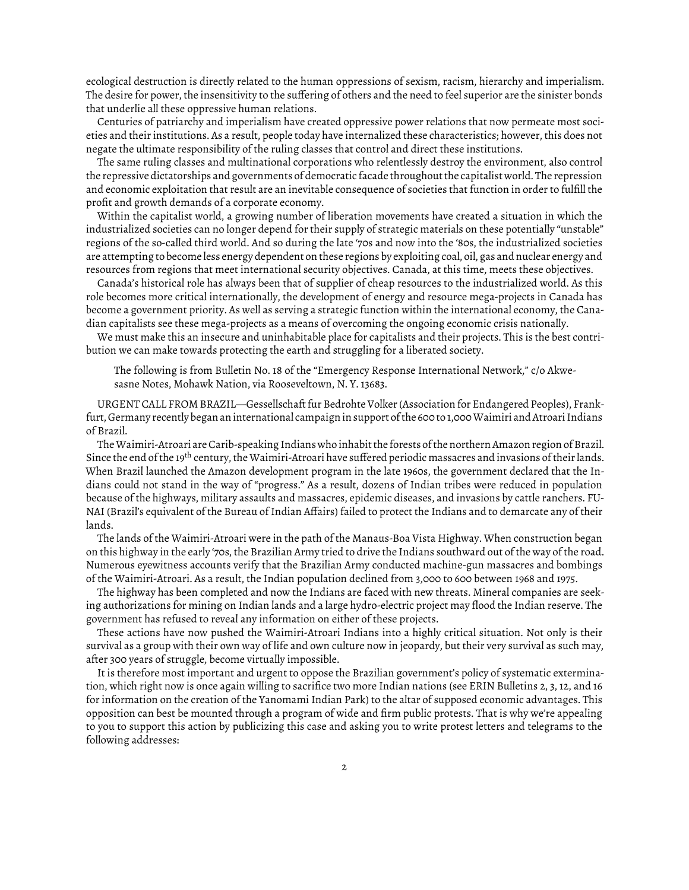ecological destruction is directly related to the human oppressions of sexism, racism, hierarchy and imperialism. The desire for power, the insensitivity to the suffering of others and the need to feel superior are the sinister bonds that underlie all these oppressive human relations.

Centuries of patriarchy and imperialism have created oppressive power relations that now permeate most societies and their institutions. As a result, people today have internalized these characteristics; however, this does not negate the ultimate responsibility of the ruling classes that control and direct these institutions.

The same ruling classes and multinational corporations who relentlessly destroy the environment, also control the repressive dictatorships and governments of democratic facade throughout the capitalist world. The repression and economic exploitation that result are an inevitable consequence of societies that function in order to fulfill the profit and growth demands of a corporate economy.

Within the capitalist world, a growing number of liberation movements have created a situation in which the industrialized societies can no longer depend for their supply of strategic materials on these potentially "unstable" regions of the so-called third world. And so during the late '70s and now into the '80s, the industrialized societies are attempting to become less energy dependent on these regions by exploiting coal, oil, gas and nuclear energy and resources from regions that meet international security objectives. Canada, at this time, meets these objectives.

Canada's historical role has always been that of supplier of cheap resources to the industrialized world. As this role becomes more critical internationally, the development of energy and resource mega-projects in Canada has become a government priority. As well as serving a strategic function within the international economy, the Canadian capitalists see these mega-projects as a means of overcoming the ongoing economic crisis nationally.

We must make this an insecure and uninhabitable place for capitalists and their projects. This is the best contribution we can make towards protecting the earth and struggling for a liberated society.

The following is from Bulletin No. 18 of the "Emergency Response International Network," c/o Akwesasne Notes, Mohawk Nation, via Rooseveltown, N. Y. 13683.

URGENT CALL FROM BRAZIL—Gessellschaft fur Bedrohte Volker (Association for Endangered Peoples), Frankfurt, Germany recently began an international campaign in support of the 600 to 1,000 Waimiri and Atroari Indians of Brazil.

The Waimiri-Atroari are Carib-speaking Indians who inhabit the forests of the northern Amazon region of Brazil. Since the end of the 19<sup>th</sup> century, the Waimiri-Atroari have suffered periodic massacres and invasions of their lands. When Brazil launched the Amazon development program in the late 1960s, the government declared that the Indians could not stand in the way of "progress." As a result, dozens of Indian tribes were reduced in population because of the highways, military assaults and massacres, epidemic diseases, and invasions by cattle ranchers. FU-NAI (Brazil's equivalent of the Bureau of Indian Affairs) failed to protect the Indians and to demarcate any of their lands.

The lands of the Waimiri-Atroari were in the path of the Manaus-Boa Vista Highway. When construction began on this highway in the early '70s, the Brazilian Army tried to drive the Indians southward out of the way of the road. Numerous eyewitness accounts verify that the Brazilian Army conducted machine-gun massacres and bombings of the Waimiri-Atroari. As a result, the Indian population declined from 3,000 to 600 between 1968 and 1975.

The highway has been completed and now the Indians are faced with new threats. Mineral companies are seeking authorizations for mining on Indian lands and a large hydro-electric project may flood the Indian reserve. The government has refused to reveal any information on either of these projects.

These actions have now pushed the Waimiri-Atroari Indians into a highly critical situation. Not only is their survival as a group with their own way of life and own culture now in jeopardy, but their very survival as such may, after 300 years of struggle, become virtually impossible.

It is therefore most important and urgent to oppose the Brazilian government's policy of systematic extermination, which right now is once again willing to sacrifice two more Indian nations (see ERIN Bulletins 2, 3, 12, and 16 for information on the creation of the Yanomami Indian Park) to the altar of supposed economic advantages. This opposition can best be mounted through a program of wide and firm public protests. That is why we're appealing to you to support this action by publicizing this case and asking you to write protest letters and telegrams to the following addresses: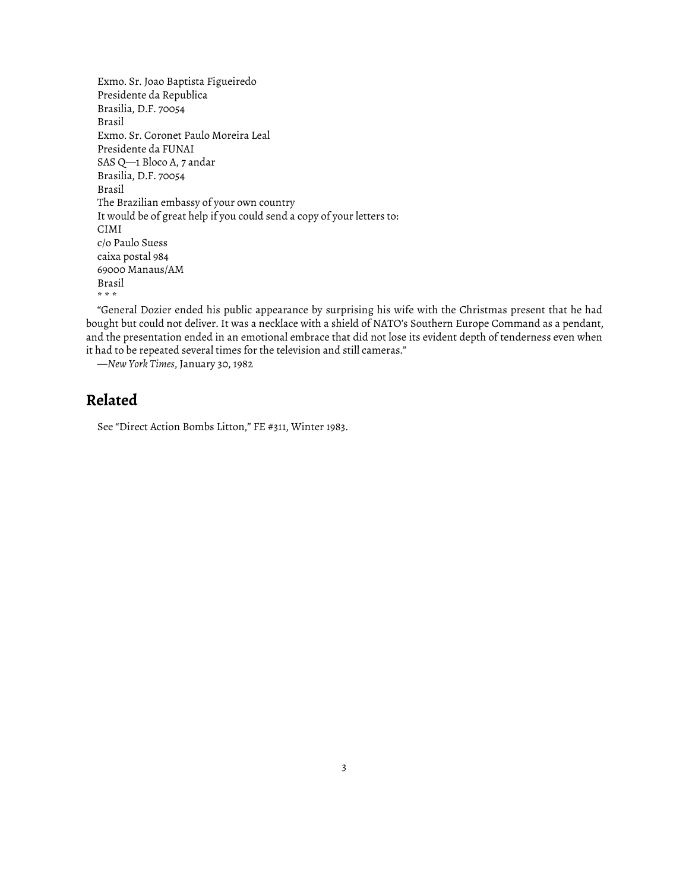```
Exmo. Sr. Joao Baptista Figueiredo
Presidente da Republica
Brasilia, D.F. 70054
Brasil
Exmo. Sr. Coronet Paulo Moreira Leal
Presidente da FUNAI
SAS Q—1 Bloco A, 7 andar
Brasilia, D.F. 70054
Brasil
The Brazilian embassy of your own country
It would be of great help if you could send a copy of your letters to:
CIMI
c/o Paulo Suess
caixa postal 984
69000 Manaus/AM
Brasil
* * *
```
"General Dozier ended his public appearance by surprising his wife with the Christmas present that he had bought but could not deliver. It was a necklace with a shield of NATO's Southern Europe Command as a pendant, and the presentation ended in an emotional embrace that did not lose its evident depth of tenderness even when it had to be repeated several times for the television and still cameras."

—*New York Times*, January 30, 1982

## **Related**

See "Direct Action Bombs Litton," [FE #311, Winter 1983](https://www.fifthestate.org/archive/311-winter-1983/direct-action-bombs-litton/).